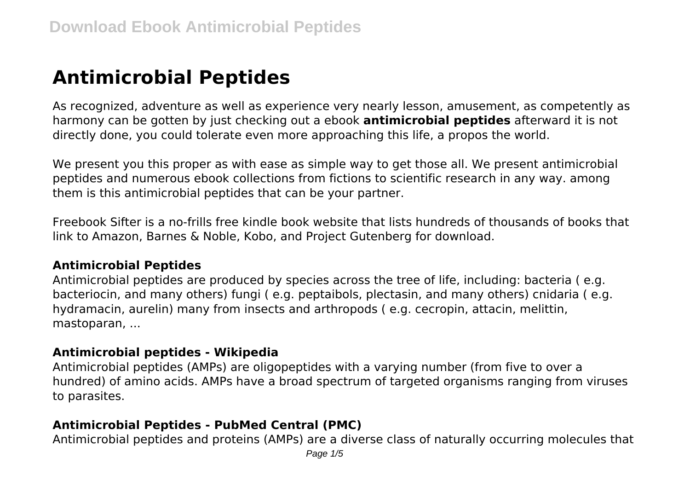# **Antimicrobial Peptides**

As recognized, adventure as well as experience very nearly lesson, amusement, as competently as harmony can be gotten by just checking out a ebook **antimicrobial peptides** afterward it is not directly done, you could tolerate even more approaching this life, a propos the world.

We present you this proper as with ease as simple way to get those all. We present antimicrobial peptides and numerous ebook collections from fictions to scientific research in any way. among them is this antimicrobial peptides that can be your partner.

Freebook Sifter is a no-frills free kindle book website that lists hundreds of thousands of books that link to Amazon, Barnes & Noble, Kobo, and Project Gutenberg for download.

#### **Antimicrobial Peptides**

Antimicrobial peptides are produced by species across the tree of life, including: bacteria ( e.g. bacteriocin, and many others) fungi ( e.g. peptaibols, plectasin, and many others) cnidaria ( e.g. hydramacin, aurelin) many from insects and arthropods ( e.g. cecropin, attacin, melittin, mastoparan, ...

#### **Antimicrobial peptides - Wikipedia**

Antimicrobial peptides (AMPs) are oligopeptides with a varying number (from five to over a hundred) of amino acids. AMPs have a broad spectrum of targeted organisms ranging from viruses to parasites.

#### **Antimicrobial Peptides - PubMed Central (PMC)**

Antimicrobial peptides and proteins (AMPs) are a diverse class of naturally occurring molecules that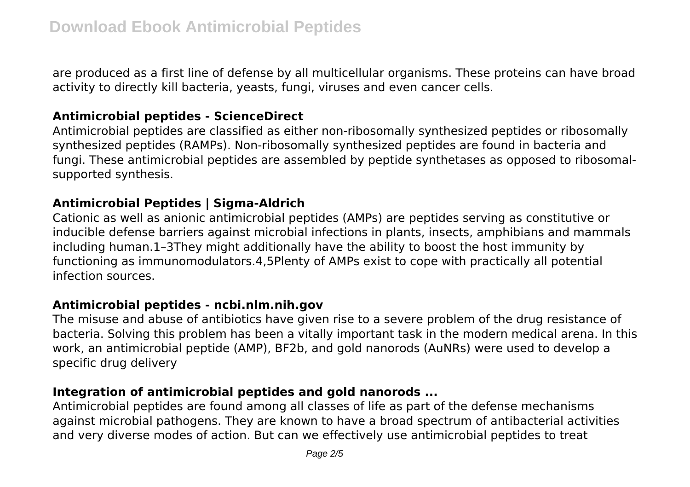are produced as a first line of defense by all multicellular organisms. These proteins can have broad activity to directly kill bacteria, yeasts, fungi, viruses and even cancer cells.

#### **Antimicrobial peptides - ScienceDirect**

Antimicrobial peptides are classified as either non-ribosomally synthesized peptides or ribosomally synthesized peptides (RAMPs). Non-ribosomally synthesized peptides are found in bacteria and fungi. These antimicrobial peptides are assembled by peptide synthetases as opposed to ribosomalsupported synthesis.

## **Antimicrobial Peptides | Sigma-Aldrich**

Cationic as well as anionic antimicrobial peptides (AMPs) are peptides serving as constitutive or inducible defense barriers against microbial infections in plants, insects, amphibians and mammals including human.1–3They might additionally have the ability to boost the host immunity by functioning as immunomodulators.4,5Plenty of AMPs exist to cope with practically all potential infection sources.

#### **Antimicrobial peptides - ncbi.nlm.nih.gov**

The misuse and abuse of antibiotics have given rise to a severe problem of the drug resistance of bacteria. Solving this problem has been a vitally important task in the modern medical arena. In this work, an antimicrobial peptide (AMP), BF2b, and gold nanorods (AuNRs) were used to develop a specific drug delivery

## **Integration of antimicrobial peptides and gold nanorods ...**

Antimicrobial peptides are found among all classes of life as part of the defense mechanisms against microbial pathogens. They are known to have a broad spectrum of antibacterial activities and very diverse modes of action. But can we effectively use antimicrobial peptides to treat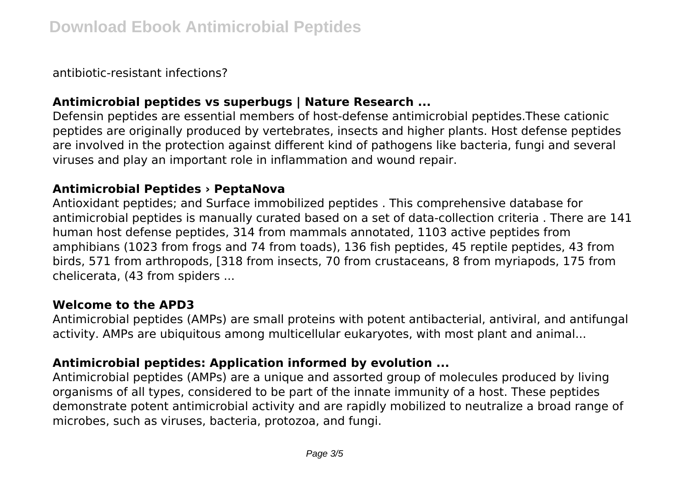antibiotic-resistant infections?

## **Antimicrobial peptides vs superbugs | Nature Research ...**

Defensin peptides are essential members of host-defense antimicrobial peptides.These cationic peptides are originally produced by vertebrates, insects and higher plants. Host defense peptides are involved in the protection against different kind of pathogens like bacteria, fungi and several viruses and play an important role in inflammation and wound repair.

#### **Antimicrobial Peptides › PeptaNova**

Antioxidant peptides; and Surface immobilized peptides . This comprehensive database for antimicrobial peptides is manually curated based on a set of data-collection criteria . There are 141 human host defense peptides, 314 from mammals annotated, 1103 active peptides from amphibians (1023 from frogs and 74 from toads), 136 fish peptides, 45 reptile peptides, 43 from birds, 571 from arthropods, [318 from insects, 70 from crustaceans, 8 from myriapods, 175 from chelicerata, (43 from spiders ...

#### **Welcome to the APD3**

Antimicrobial peptides (AMPs) are small proteins with potent antibacterial, antiviral, and antifungal activity. AMPs are ubiquitous among multicellular eukaryotes, with most plant and animal...

#### **Antimicrobial peptides: Application informed by evolution ...**

Antimicrobial peptides (AMPs) are a unique and assorted group of molecules produced by living organisms of all types, considered to be part of the innate immunity of a host. These peptides demonstrate potent antimicrobial activity and are rapidly mobilized to neutralize a broad range of microbes, such as viruses, bacteria, protozoa, and fungi.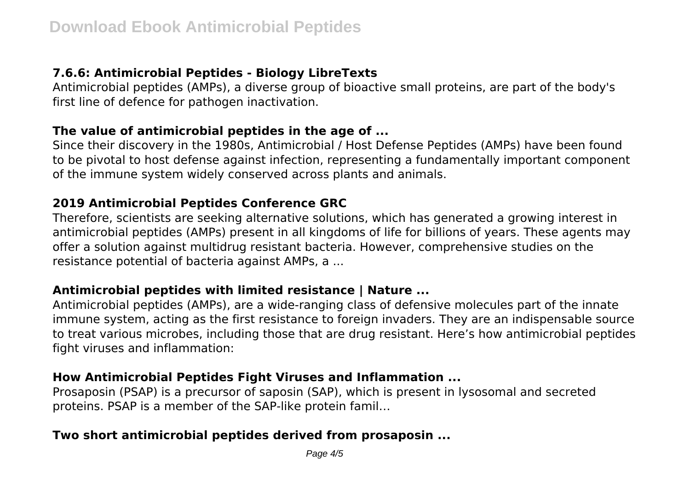## **7.6.6: Antimicrobial Peptides - Biology LibreTexts**

Antimicrobial peptides (AMPs), a diverse group of bioactive small proteins, are part of the body's first line of defence for pathogen inactivation.

#### **The value of antimicrobial peptides in the age of ...**

Since their discovery in the 1980s, Antimicrobial / Host Defense Peptides (AMPs) have been found to be pivotal to host defense against infection, representing a fundamentally important component of the immune system widely conserved across plants and animals.

## **2019 Antimicrobial Peptides Conference GRC**

Therefore, scientists are seeking alternative solutions, which has generated a growing interest in antimicrobial peptides (AMPs) present in all kingdoms of life for billions of years. These agents may offer a solution against multidrug resistant bacteria. However, comprehensive studies on the resistance potential of bacteria against AMPs, a ...

#### **Antimicrobial peptides with limited resistance | Nature ...**

Antimicrobial peptides (AMPs), are a wide-ranging class of defensive molecules part of the innate immune system, acting as the first resistance to foreign invaders. They are an indispensable source to treat various microbes, including those that are drug resistant. Here's how antimicrobial peptides fight viruses and inflammation:

## **How Antimicrobial Peptides Fight Viruses and Inflammation ...**

Prosaposin (PSAP) is a precursor of saposin (SAP), which is present in lysosomal and secreted proteins. PSAP is a member of the SAP-like protein famil…

## **Two short antimicrobial peptides derived from prosaposin ...**